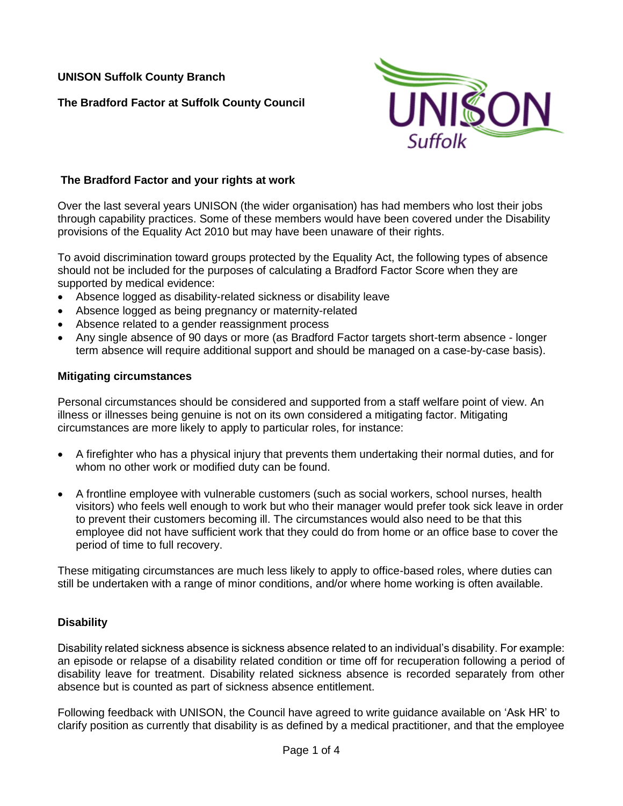**UNISON Suffolk County Branch** 

**The Bradford Factor at Suffolk County Council**



## **The Bradford Factor and your rights at work**

Over the last several years UNISON (the wider organisation) has had members who lost their jobs through capability practices. Some of these members would have been covered under the Disability provisions of the Equality Act 2010 but may have been unaware of their rights.

To avoid discrimination toward groups protected by the Equality Act, the following types of absence should not be included for the purposes of calculating a Bradford Factor Score when they are supported by medical evidence:

- Absence logged as disability-related sickness or disability leave
- Absence logged as being pregnancy or maternity-related
- Absence related to a gender reassignment process
- Any single absence of 90 days or more (as Bradford Factor targets short-term absence longer term absence will require additional support and should be managed on a case-by-case basis).

#### **Mitigating circumstances**

Personal circumstances should be considered and supported from a staff welfare point of view. An illness or illnesses being genuine is not on its own considered a mitigating factor. Mitigating circumstances are more likely to apply to particular roles, for instance:

- A firefighter who has a physical injury that prevents them undertaking their normal duties, and for whom no other work or modified duty can be found.
- A frontline employee with vulnerable customers (such as social workers, school nurses, health visitors) who feels well enough to work but who their manager would prefer took sick leave in order to prevent their customers becoming ill. The circumstances would also need to be that this employee did not have sufficient work that they could do from home or an office base to cover the period of time to full recovery.

These mitigating circumstances are much less likely to apply to office-based roles, where duties can still be undertaken with a range of minor conditions, and/or where home working is often available.

#### **Disability**

Disability related sickness absence is sickness absence related to an individual's disability. For example: an episode or relapse of a disability related condition or time off for recuperation following a period of disability leave for treatment. Disability related sickness absence is recorded separately from other absence but is counted as part of sickness absence entitlement.

Following feedback with UNISON, the Council have agreed to write guidance available on 'Ask HR' to clarify position as currently that disability is as defined by a medical practitioner, and that the employee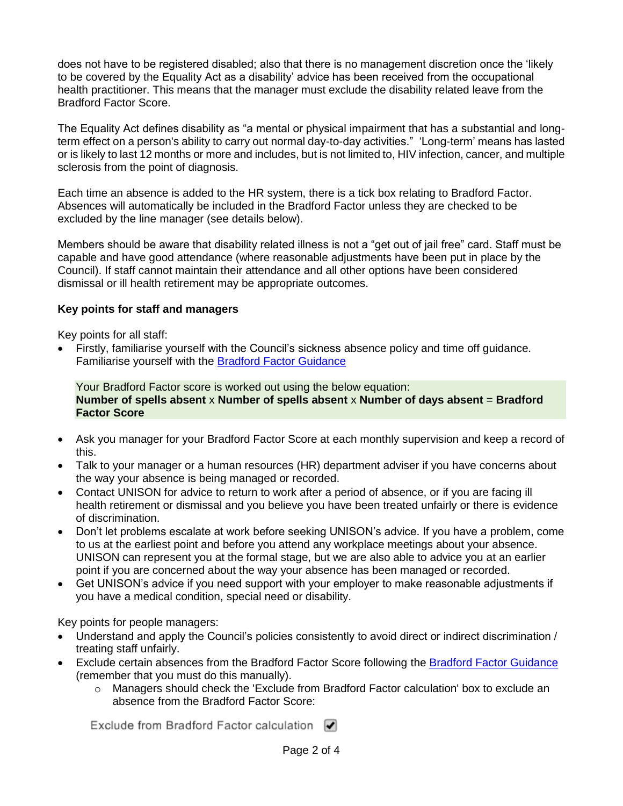does not have to be registered disabled; also that there is no management discretion once the 'likely to be covered by the Equality Act as a disability' advice has been received from the occupational health practitioner. This means that the manager must exclude the disability related leave from the Bradford Factor Score.

The Equality Act defines disability as "a mental or physical impairment that has a substantial and longterm effect on a person's ability to carry out normal day-to-day activities." 'Long-term' means has lasted or is likely to last 12 months or more and includes, but is not limited to, HIV infection, cancer, and multiple sclerosis from the point of diagnosis.

Each time an absence is added to the HR system, there is a tick box relating to Bradford Factor. Absences will automatically be included in the Bradford Factor unless they are checked to be excluded by the line manager (see details below).

Members should be aware that disability related illness is not a "get out of jail free" card. Staff must be capable and have good attendance (where reasonable adjustments have been put in place by the Council). If staff cannot maintain their attendance and all other options have been considered dismissal or ill health retirement may be appropriate outcomes.

## **Key points for staff and managers**

Key points for all staff:

• Firstly, familiarise yourself with the Council's sickness absence policy and time off guidance. Familiarise yourself with the [Bradford Factor Guidance](https://view.pagetiger.com/the-bradford-factor)

Your Bradford Factor score is worked out using the below equation: **Number of spells absent** x **Number of spells absent** x **Number of days absent** = **Bradford Factor Score**

- Ask you manager for your Bradford Factor Score at each monthly supervision and keep a record of this.
- Talk to your manager or a human resources (HR) department adviser if you have concerns about the way your absence is being managed or recorded.
- Contact UNISON for advice to return to work after a period of absence, or if you are facing ill health retirement or dismissal and you believe you have been treated unfairly or there is evidence of discrimination.
- Don't let problems escalate at work before seeking UNISON's advice. If you have a problem, come to us at the earliest point and before you attend any workplace meetings about your absence. UNISON can represent you at the formal stage, but we are also able to advice you at an earlier point if you are concerned about the way your absence has been managed or recorded.
- Get UNISON's advice if you need support with your employer to make reasonable adjustments if you have a medical condition, special need or disability.

Key points for people managers:

- Understand and apply the Council's policies consistently to avoid direct or indirect discrimination / treating staff unfairly.
- Exclude certain absences from the Bradford Factor Score following the [Bradford Factor Guidance](https://view.pagetiger.com/the-bradford-factor) (remember that you must do this manually).
	- o Managers should check the 'Exclude from Bradford Factor calculation' box to exclude an absence from the Bradford Factor Score:

Exclude from Bradford Factor calculation √

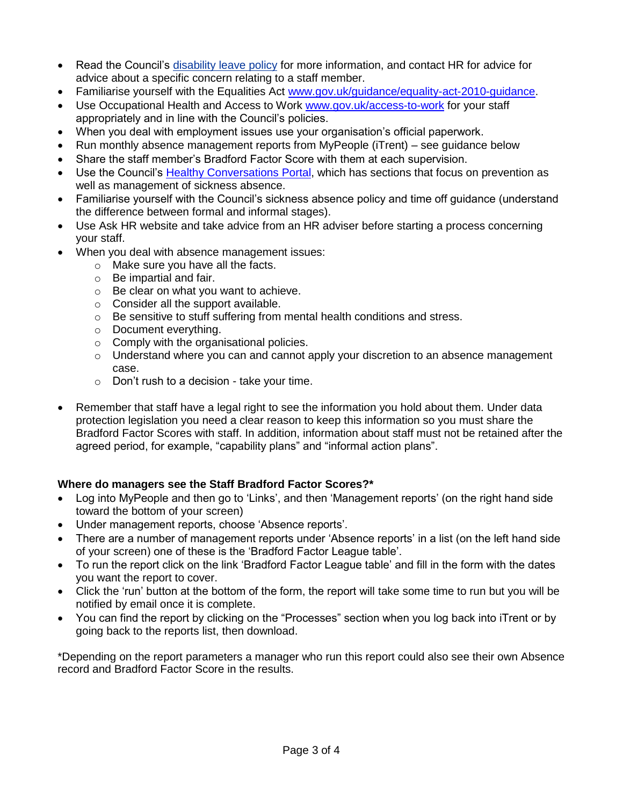- Read the Council's [disability](https://askhr.suffolk.gov.uk/resources/suffolkcc/hr-file-store/SCC-ABS-HRP-DisabilityLeave.docx) leave policy for more information, and contact HR for advice for advice about a specific concern relating to a staff member.
- Familiarise yourself with the Equalities Act [www.gov.uk/guidance/equality-act-2010-guidance.](http://www.gov.uk/guidance/equality-act-2010-guidance)
- Use Occupational Health and Access to Work [www.gov.uk/access-to-work](http://www.gov.uk/access-to-work) for your staff appropriately and in line with the Council's policies.
- When you deal with employment issues use your organisation's official paperwork.
- Run monthly absence management reports from MyPeople (iTrent) see guidance below
- Share the staff member's Bradford Factor Score with them at each supervision.
- Use the Council's **Healthy Conversations Portal**, which has sections that focus on prevention as well as management of sickness absence.
- Familiarise yourself with the Council's sickness absence policy and time off guidance (understand the difference between formal and informal stages).
- Use Ask HR website and take advice from an HR adviser before starting a process concerning your staff.
- When you deal with absence management issues:
	- o Make sure you have all the facts.
	- o Be impartial and fair.
	- o Be clear on what you want to achieve.
	- o Consider all the support available.
	- o Be sensitive to stuff suffering from mental health conditions and stress.
	- o Document everything.
	- o Comply with the organisational policies.
	- $\circ$  Understand where you can and cannot apply your discretion to an absence management case.
	- o Don't rush to a decision take your time.
- Remember that staff have a legal right to see the information you hold about them. Under data protection legislation you need a clear reason to keep this information so you must share the Bradford Factor Scores with staff. In addition, information about staff must not be retained after the agreed period, for example, "capability plans" and "informal action plans".

# **Where do managers see the Staff Bradford Factor Scores?\***

- Log into MyPeople and then go to 'Links', and then 'Management reports' (on the right hand side toward the bottom of your screen)
- Under management reports, choose 'Absence reports'.
- There are a number of management reports under 'Absence reports' in a list (on the left hand side of your screen) one of these is the 'Bradford Factor League table'.
- To run the report click on the link 'Bradford Factor League table' and fill in the form with the dates you want the report to cover.
- Click the 'run' button at the bottom of the form, the report will take some time to run but you will be notified by email once it is complete.
- You can find the report by clicking on the "Processes" section when you log back into iTrent or by going back to the reports list, then download.

\*Depending on the report parameters a manager who run this report could also see their own Absence record and Bradford Factor Score in the results.